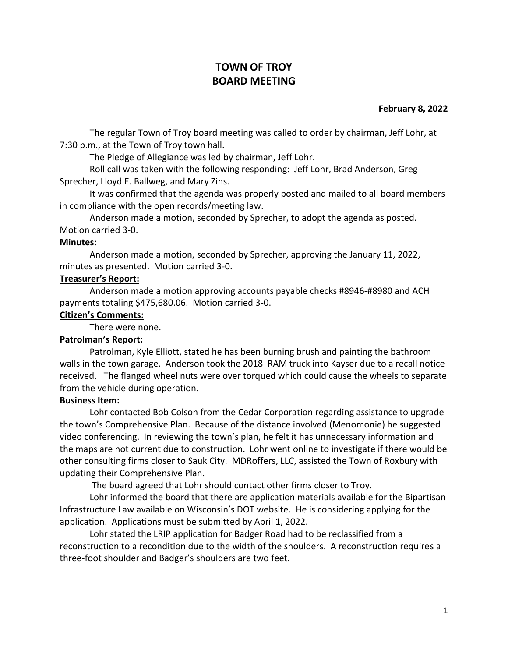# **TOWN OF TROY BOARD MEETING**

### **February 8, 2022**

The regular Town of Troy board meeting was called to order by chairman, Jeff Lohr, at 7:30 p.m., at the Town of Troy town hall.

The Pledge of Allegiance was led by chairman, Jeff Lohr.

Roll call was taken with the following responding: Jeff Lohr, Brad Anderson, Greg Sprecher, Lloyd E. Ballweg, and Mary Zins.

It was confirmed that the agenda was properly posted and mailed to all board members in compliance with the open records/meeting law.

Anderson made a motion, seconded by Sprecher, to adopt the agenda as posted. Motion carried 3-0.

#### **Minutes:**

Anderson made a motion, seconded by Sprecher, approving the January 11, 2022, minutes as presented. Motion carried 3-0.

# **Treasurer's Report:**

Anderson made a motion approving accounts payable checks #8946-#8980 and ACH payments totaling \$475,680.06. Motion carried 3-0.

#### **Citizen's Comments:**

There were none.

# **Patrolman's Report:**

Patrolman, Kyle Elliott, stated he has been burning brush and painting the bathroom walls in the town garage. Anderson took the 2018 RAM truck into Kayser due to a recall notice received. The flanged wheel nuts were over torqued which could cause the wheels to separate from the vehicle during operation.

#### **Business Item:**

Lohr contacted Bob Colson from the Cedar Corporation regarding assistance to upgrade the town's Comprehensive Plan. Because of the distance involved (Menomonie) he suggested video conferencing. In reviewing the town's plan, he felt it has unnecessary information and the maps are not current due to construction. Lohr went online to investigate if there would be other consulting firms closer to Sauk City. MDRoffers, LLC, assisted the Town of Roxbury with updating their Comprehensive Plan.

The board agreed that Lohr should contact other firms closer to Troy.

Lohr informed the board that there are application materials available for the Bipartisan Infrastructure Law available on Wisconsin's DOT website. He is considering applying for the application. Applications must be submitted by April 1, 2022.

Lohr stated the LRIP application for Badger Road had to be reclassified from a reconstruction to a recondition due to the width of the shoulders. A reconstruction requires a three-foot shoulder and Badger's shoulders are two feet.